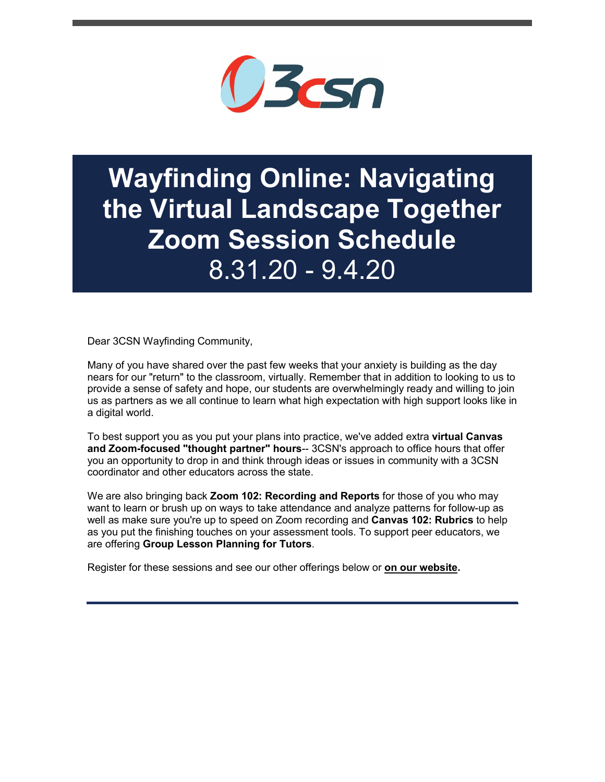

**Wayfinding Online: Navigating the Virtual Landscape Together Zoom Session Schedule** 8.31.20 - 9.4.20

Dear 3CSN Wayfinding Community,

Many of you have shared over the past few weeks that your anxiety is building as the day nears for our "return" to the classroom, virtually. Remember that in addition to looking to us to provide a sense of safety and hope, our students are overwhelmingly ready and willing to join us as partners as we all continue to learn what high expectation with high support looks like in a digital world.

To best support you as you put your plans into practice, we've added extra **virtual Canvas and Zoom-focused "thought partner" hours**-- 3CSN's approach to office hours that offer you an opportunity to drop in and think through ideas or issues in community with a 3CSN coordinator and other educators across the state.

We are also bringing back **Zoom 102: Recording and Reports** for those of you who may want to learn or brush up on ways to take attendance and analyze patterns for follow-up as well as make sure you're up to speed on Zoom recording and **Canvas 102: Rubrics** to help as you put the finishing touches on your assessment tools. To support peer educators, we are offering **Group Lesson Planning for Tutors**.

Register for these sessions and see our other offerings below or **[on our website.](http://r20.rs6.net/tn.jsp?f=001Rn0DTu7AaGJj9Wcap5ZOg2zM89ruz4VY05QGb7-qpltioFge8ezn_mmcZYhYQ8K0oKYNR9_j-f6HWitAj7STcZInA2bJeIsfN6EVnRKReT177SouL4rS3pt5tD-435lqOQkPPHL0lPQ=&c=gwVVOUiodTbKTGsV1qOhMkRr8K6XangLXQn8Y-rjnwhqog-6BQqdoA==&ch=JhVpzBpuNzFCypgpfhyy8U7rB4cczgiqP4xnMtHzpemgu19Mmy_mog==)**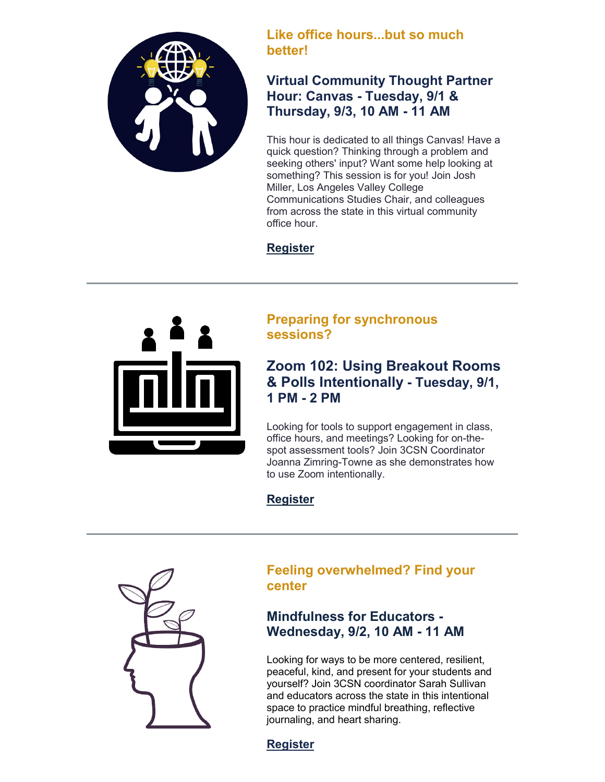

**Like office hours...but so much better!**

# **Virtual Community Thought Partner Hour: Canvas - Tuesday, 9/1 & Thursday, 9/3, 10 AM - 11 AM**

This hour is dedicated to all things Canvas! Have a quick question? Thinking through a problem and seeking others' input? Want some help looking at something? This session is for you! Join Josh Miller, Los Angeles Valley College Communications Studies Chair, and colleagues from across the state in this virtual community office hour.

## **[Register](http://r20.rs6.net/tn.jsp?f=001Rn0DTu7AaGJj9Wcap5ZOg2zM89ruz4VY05QGb7-qpltioFge8ezn_p5xIjZlq48hxN8f6zcwxutInp2--BVMM4gbe5WoHWN84koK3izupg3MhDv6oTfy4LBlh5m1Y9mD_-kSHHSp0jfxkUikwRf6R1GqjhkmxKjKdxg5g2-AHW_-tnZCXCItq8dZ5Lbjy0DuPD7xNnM1JtfWLFRcSdMPCCHeHQKliLsF&c=gwVVOUiodTbKTGsV1qOhMkRr8K6XangLXQn8Y-rjnwhqog-6BQqdoA==&ch=JhVpzBpuNzFCypgpfhyy8U7rB4cczgiqP4xnMtHzpemgu19Mmy_mog==)**



# **Preparing for synchronous sessions?**

# **Zoom 102: Using Breakout Rooms & Polls Intentionally - Tuesday, 9/1, 1 PM - 2 PM**

Looking for tools to support engagement in class, office hours, and meetings? Looking for on-thespot assessment tools? Join 3CSN Coordinator Joanna Zimring-Towne as she demonstrates how to use Zoom intentionally.

## **[Register](http://r20.rs6.net/tn.jsp?f=001Rn0DTu7AaGJj9Wcap5ZOg2zM89ruz4VY05QGb7-qpltioFge8ezn_p5xIjZlq48hY5YJePM4nb7lXYO8G3-figqpMxz6MTPInHThsC7RrAfLAtir9QlOjOtWDoevFS3P6m3u-O6Ol2QY96KgLMqs5Z-X8mZQm3PVeuoiPOUsJOoNRpYxuSKAGDnZbMzVExhPrAkPEAea-Ih33SmWG0MrsU3YTohQ9CMZ&c=gwVVOUiodTbKTGsV1qOhMkRr8K6XangLXQn8Y-rjnwhqog-6BQqdoA==&ch=JhVpzBpuNzFCypgpfhyy8U7rB4cczgiqP4xnMtHzpemgu19Mmy_mog==)**



# **Feeling overwhelmed? Find your center**

## **Mindfulness for Educators - Wednesday, 9/2, 10 AM - 11 AM**

Looking for ways to be more centered, resilient, peaceful, kind, and present for your students and yourself? Join 3CSN coordinator Sarah Sullivan and educators across the state in this intentional space to practice mindful breathing, reflective journaling, and heart sharing.

**[Register](http://r20.rs6.net/tn.jsp?f=001Rn0DTu7AaGJj9Wcap5ZOg2zM89ruz4VY05QGb7-qpltioFge8ezn_mZev7Be0_ogeOlm83e4Q9alumxcsOl7L2prCxL_KAtMickzs9wjpQZJrpk221eESxfPnEA7GyDvxtJN7KegRts=&c=gwVVOUiodTbKTGsV1qOhMkRr8K6XangLXQn8Y-rjnwhqog-6BQqdoA==&ch=JhVpzBpuNzFCypgpfhyy8U7rB4cczgiqP4xnMtHzpemgu19Mmy_mog==)**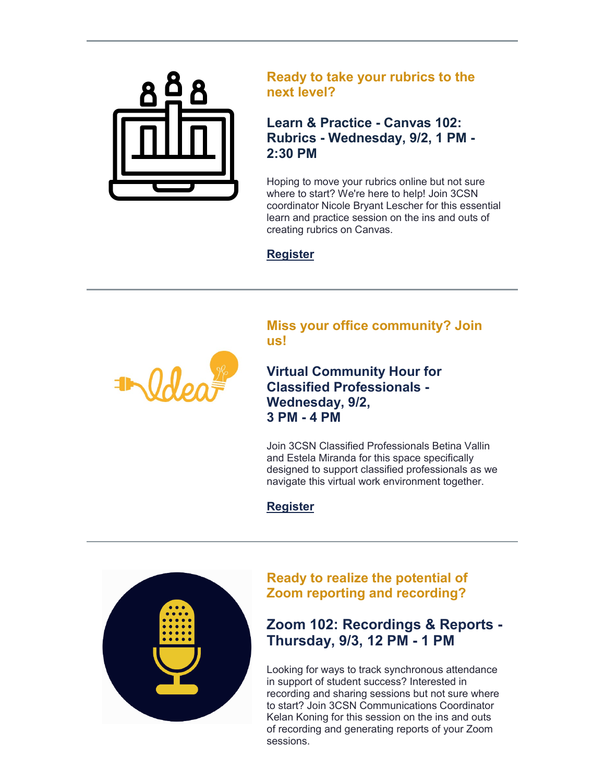

# **Ready to take your rubrics to the next level?**

## **Learn & Practice - Canvas 102: Rubrics - Wednesday, 9/2, 1 PM - 2:30 PM**

Hoping to move your rubrics online but not sure where to start? We're here to help! Join 3CSN coordinator Nicole Bryant Lescher for this essential learn and practice session on the ins and outs of creating rubrics on Canvas.

#### **[Register](http://r20.rs6.net/tn.jsp?f=001Rn0DTu7AaGJj9Wcap5ZOg2zM89ruz4VY05QGb7-qpltioFge8ezn_p5xIjZlq48h-Xom2Fm3QHJmlBvn-_SbBInIljBFsIi9St6QnxW2ID3VvvZklQB98ieUudPNnR3LyOpG8Fq64S0zF0kdeEM4Dk1tStHtIt43nm0oAV_Lo2sj23Z2u85BmsBikhp9qcWFeFXxduLWQp-DeLQeF4p3_f1XJydw25aE&c=gwVVOUiodTbKTGsV1qOhMkRr8K6XangLXQn8Y-rjnwhqog-6BQqdoA==&ch=JhVpzBpuNzFCypgpfhyy8U7rB4cczgiqP4xnMtHzpemgu19Mmy_mog==)**



**Miss your office community? Join us!**

**Virtual Community Hour for Classified Professionals - Wednesday, 9/2, 3 PM - 4 PM**

Join 3CSN Classified Professionals Betina Vallin and Estela Miranda for this space specifically designed to support classified professionals as we navigate this virtual work environment together.

#### **[Register](http://r20.rs6.net/tn.jsp?f=001Rn0DTu7AaGJj9Wcap5ZOg2zM89ruz4VY05QGb7-qpltioFge8ezn_pmoPG0Ao0bnOxfYAkOsQ4nw7zCPa7qV6oshQkM4abyv6Mupgpua5g_ZRoCMwjmGfEIcE1bxDopFWniAcw2slLBVCgXx3wHNBF-IhnUooYaEZeFSR0A7WIyqKkwVPMPs1Yk-MgJFxRNAiSr04ZqPP3PH_CKdU7Qw9iBb3OsrupoN&c=gwVVOUiodTbKTGsV1qOhMkRr8K6XangLXQn8Y-rjnwhqog-6BQqdoA==&ch=JhVpzBpuNzFCypgpfhyy8U7rB4cczgiqP4xnMtHzpemgu19Mmy_mog==)**



# **Ready to realize the potential of Zoom reporting and recording?**

# **Zoom 102: Recordings & Reports - Thursday, 9/3, 12 PM - 1 PM**

Looking for ways to track synchronous attendance in support of student success? Interested in recording and sharing sessions but not sure where to start? Join 3CSN Communications Coordinator Kelan Koning for this session on the ins and outs of recording and generating reports of your Zoom sessions.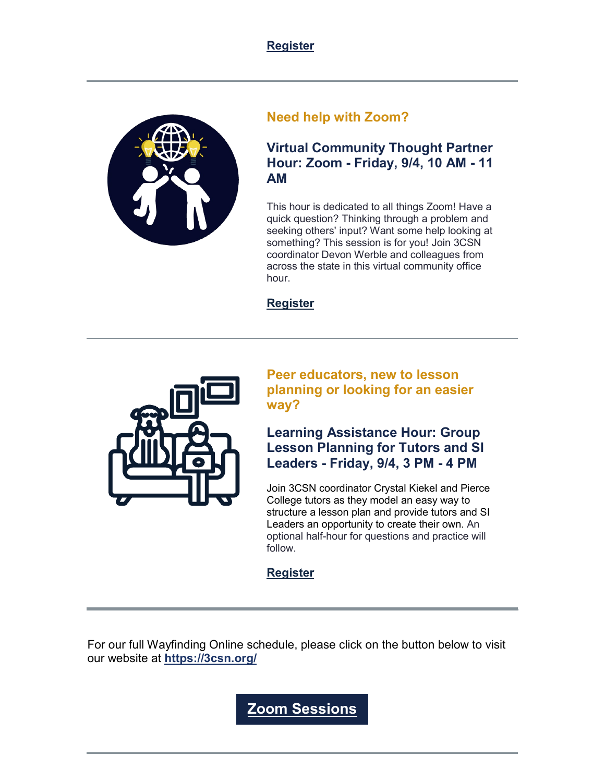**[Register](http://r20.rs6.net/tn.jsp?f=001Rn0DTu7AaGJj9Wcap5ZOg2zM89ruz4VY05QGb7-qpltioFge8ezn_p5xIjZlq48hqyVYu4FxBrOAgkzfc3vpOVA8FdDmjjcKFfUOPR0NkYb8sdxz-vofAu8JXkBa-KBplsB_pEeb0cg5xi4J47no77ZxHAfcr3pIz0Ky3DCVTi1RWwiHNargAoiiKUX19GHjSvppBYZ5SU8rIojzN6rhpsSRafHwddCz&c=gwVVOUiodTbKTGsV1qOhMkRr8K6XangLXQn8Y-rjnwhqog-6BQqdoA==&ch=JhVpzBpuNzFCypgpfhyy8U7rB4cczgiqP4xnMtHzpemgu19Mmy_mog==)**



# **Need help with Zoom?**

## **Virtual Community Thought Partner Hour: Zoom - Friday, 9/4, 10 AM - 11 AM**

This hour is dedicated to all things Zoom! Have a quick question? Thinking through a problem and seeking others' input? Want some help looking at something? This session is for you! Join 3CSN coordinator Devon Werble and colleagues from across the state in this virtual community office hour.

### **[Register](http://r20.rs6.net/tn.jsp?f=001Rn0DTu7AaGJj9Wcap5ZOg2zM89ruz4VY05QGb7-qpltioFge8ezn_p5xIjZlq48hgBBCwzCY_cRam7E5L3V7dcE7G3dUDptF4ZIyQuZoxAlT_XEr2muPDzumvg6IStztu5g-nC1epiICEYUTfKsGTQOb8jUhiwa9UuiNB1SAdbWLO3bIRKnTxvbhZZ9mvBESe6Rjr5MPxqSt1Pe29kw73ljGqR7jEjO4&c=gwVVOUiodTbKTGsV1qOhMkRr8K6XangLXQn8Y-rjnwhqog-6BQqdoA==&ch=JhVpzBpuNzFCypgpfhyy8U7rB4cczgiqP4xnMtHzpemgu19Mmy_mog==)**



### **Peer educators, new to lesson planning or looking for an easier way?**

**Learning Assistance Hour: Group Lesson Planning for Tutors and SI Leaders - Friday, 9/4, 3 PM - 4 PM** 

Join 3CSN coordinator Crystal Kiekel and Pierce College tutors as they model an easy way to structure a lesson plan and provide tutors and SI Leaders an opportunity to create their own. An optional half-hour for questions and practice will follow.

**[Register](http://r20.rs6.net/tn.jsp?f=001Rn0DTu7AaGJj9Wcap5ZOg2zM89ruz4VY05QGb7-qpltioFge8ezn_iT7cd2UwTpGl_LSl7FkMElK8l6uOls11F2X2w6F2_94jlqG95qWqF4I9O7wVSfOYoJtrY1aFUjfMyvfv0dkghQ=&c=gwVVOUiodTbKTGsV1qOhMkRr8K6XangLXQn8Y-rjnwhqog-6BQqdoA==&ch=JhVpzBpuNzFCypgpfhyy8U7rB4cczgiqP4xnMtHzpemgu19Mmy_mog==)**

For our full Wayfinding Online schedule, please click on the button below to visit our website at **[https://3csn.org/](http://r20.rs6.net/tn.jsp?f=001Rn0DTu7AaGJj9Wcap5ZOg2zM89ruz4VY05QGb7-qpltioFge8ezn_szUrgjSk5Ne5zFzKhdTupgbLfp1eskXYrS8sEX41gQ8LtL5KwVbncyxcytl6ca4_O7lQ4AnjDCcIUnZX3txe30=&c=gwVVOUiodTbKTGsV1qOhMkRr8K6XangLXQn8Y-rjnwhqog-6BQqdoA==&ch=JhVpzBpuNzFCypgpfhyy8U7rB4cczgiqP4xnMtHzpemgu19Mmy_mog==)**

**[Zoom Sessions](http://r20.rs6.net/tn.jsp?f=001Rn0DTu7AaGJj9Wcap5ZOg2zM89ruz4VY05QGb7-qpltioFge8ezn_szUrgjSk5Ne5zFzKhdTupgbLfp1eskXYrS8sEX41gQ8LtL5KwVbncyxcytl6ca4_O7lQ4AnjDCcIUnZX3txe30=&c=gwVVOUiodTbKTGsV1qOhMkRr8K6XangLXQn8Y-rjnwhqog-6BQqdoA==&ch=JhVpzBpuNzFCypgpfhyy8U7rB4cczgiqP4xnMtHzpemgu19Mmy_mog==)**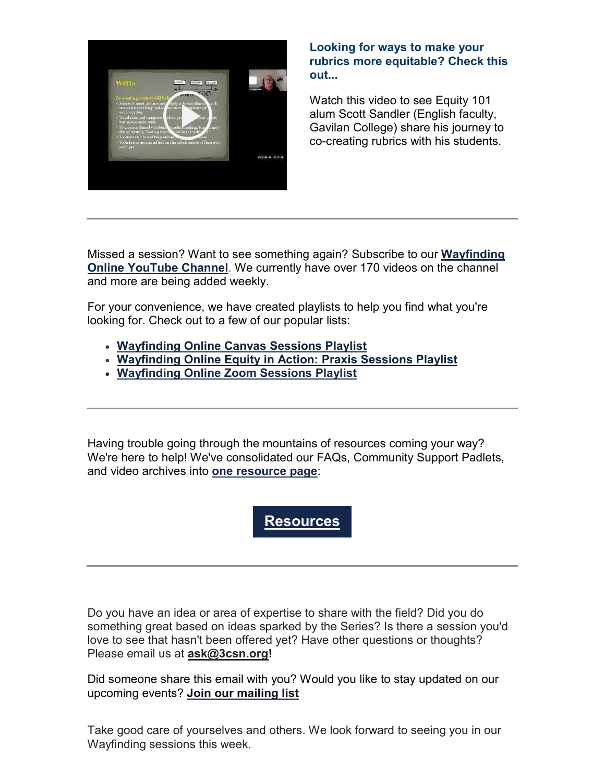

#### **Looking for ways to make your rubrics more equitable? Check this out...**

Watch this video to see Equity 101 alum Scott Sandler (English faculty, Gavilan College) share his journey to co-creating rubrics with his students.

Missed a session? Want to see something again? Subscribe to our **[Wayfinding](http://r20.rs6.net/tn.jsp?f=001Rn0DTu7AaGJj9Wcap5ZOg2zM89ruz4VY05QGb7-qpltioFge8ezn_mmcZYhYQ8K02Z_YQZK_8BPbOY-VHhVKVhpp6zJISSnp30D_2Qjrg1gjUPdWuh1j9vB_j3oj2WlC_b57lNbnxSTAZoLcKkVoCOS6rMoOneu9xNRzQ9fJ0B93RJIHRnSASeZjpkTigr1RSv4r90Gvgm-DlPnJKaYlLQ==&c=gwVVOUiodTbKTGsV1qOhMkRr8K6XangLXQn8Y-rjnwhqog-6BQqdoA==&ch=JhVpzBpuNzFCypgpfhyy8U7rB4cczgiqP4xnMtHzpemgu19Mmy_mog==)  [Online YouTube Channel](http://r20.rs6.net/tn.jsp?f=001Rn0DTu7AaGJj9Wcap5ZOg2zM89ruz4VY05QGb7-qpltioFge8ezn_mmcZYhYQ8K02Z_YQZK_8BPbOY-VHhVKVhpp6zJISSnp30D_2Qjrg1gjUPdWuh1j9vB_j3oj2WlC_b57lNbnxSTAZoLcKkVoCOS6rMoOneu9xNRzQ9fJ0B93RJIHRnSASeZjpkTigr1RSv4r90Gvgm-DlPnJKaYlLQ==&c=gwVVOUiodTbKTGsV1qOhMkRr8K6XangLXQn8Y-rjnwhqog-6BQqdoA==&ch=JhVpzBpuNzFCypgpfhyy8U7rB4cczgiqP4xnMtHzpemgu19Mmy_mog==)**. We currently have over 170 videos on the channel and more are being added weekly.

For your convenience, we have created playlists to help you find what you're looking for. Check out to a few of our popular lists:

- **[Wayfinding Online Canvas Sessions Playlist](http://r20.rs6.net/tn.jsp?f=001Rn0DTu7AaGJj9Wcap5ZOg2zM89ruz4VY05QGb7-qpltioFge8ezn_uuYtRisXKKmvptijjfyd7ZGANqVL1dExqBvvwYBrw_qa3FlrHPF_7pL_XnXmN5ypse7LwCiO8bWC01nywb4rDcq65Y1oYbkLa0ijtRHuKxGvD6gaS09fr79BRNz9F7zkRMFYyG32YHYvy438MbW_uH2yuW2ofizRA==&c=gwVVOUiodTbKTGsV1qOhMkRr8K6XangLXQn8Y-rjnwhqog-6BQqdoA==&ch=JhVpzBpuNzFCypgpfhyy8U7rB4cczgiqP4xnMtHzpemgu19Mmy_mog==)**
- **[Wayfinding Online Equity in Action: Praxis Sessions Playlist](http://r20.rs6.net/tn.jsp?f=001Rn0DTu7AaGJj9Wcap5ZOg2zM89ruz4VY05QGb7-qpltioFge8ezn_uuYtRisXKKmj3D53GJMZS8O7wPKMkHp5O4U0MGxan9hqVl23zBLkftNBxi2Hef1X8G5L6sy5bUOMpTmAK0mbuookC9KNFH0fTAT9t3lFPp3veHFXJIFCztdQsAXF_vfV0djJhRPjy03yx5bsblXRUyagpiyXlYXWg==&c=gwVVOUiodTbKTGsV1qOhMkRr8K6XangLXQn8Y-rjnwhqog-6BQqdoA==&ch=JhVpzBpuNzFCypgpfhyy8U7rB4cczgiqP4xnMtHzpemgu19Mmy_mog==)**
- **[Wayfinding Online Zoom Sessions Playlist](http://r20.rs6.net/tn.jsp?f=001Rn0DTu7AaGJj9Wcap5ZOg2zM89ruz4VY05QGb7-qpltioFge8ezn_uuYtRisXKKmDZdZMwADvIh5zl9bEjmSONJ-irT6DOes7G1xA3Q487LWy9FL4xQdb6cUhMCihtfO-MP7X9H-XXDcC5Bx1pBR5QWOCZ064jh-TuMM1yb-NlFAy-ZA4tU6fj5_Jw8zm8YuIUJm9Y5RhfUTbuoFj-8g0g==&c=gwVVOUiodTbKTGsV1qOhMkRr8K6XangLXQn8Y-rjnwhqog-6BQqdoA==&ch=JhVpzBpuNzFCypgpfhyy8U7rB4cczgiqP4xnMtHzpemgu19Mmy_mog==)**

Having trouble going through the mountains of resources coming your way? We're here to help! We've consolidated our FAQs, Community Support Padlets, and video archives into **[one resource page](http://r20.rs6.net/tn.jsp?f=001Rn0DTu7AaGJj9Wcap5ZOg2zM89ruz4VY05QGb7-qpltioFge8ezn_niIAHPUGt8jSdT_Wnpcjr3elNW9jN4ylqaqYD-SYnXVQHZo0owFJvktB48C-VZJQLdTvSBUSEgV2wvQdNs-WIc=&c=gwVVOUiodTbKTGsV1qOhMkRr8K6XangLXQn8Y-rjnwhqog-6BQqdoA==&ch=JhVpzBpuNzFCypgpfhyy8U7rB4cczgiqP4xnMtHzpemgu19Mmy_mog==)**:

**[Resources](http://r20.rs6.net/tn.jsp?f=001Rn0DTu7AaGJj9Wcap5ZOg2zM89ruz4VY05QGb7-qpltioFge8ezn_niIAHPUGt8jZC9XwYVJyj_s5cDD1Em4XFlno7P4imYIpNjUp7CLVZA-NnwMEM0sfoSjMm7zCs3Bc2YRG4WfPcdhTMtVRyvuA_ImFzjaYSK5R5ILRJcysAc=&c=gwVVOUiodTbKTGsV1qOhMkRr8K6XangLXQn8Y-rjnwhqog-6BQqdoA==&ch=JhVpzBpuNzFCypgpfhyy8U7rB4cczgiqP4xnMtHzpemgu19Mmy_mog==)**

Do you have an idea or area of expertise to share with the field? Did you do something great based on ideas sparked by the Series? Is there a session you'd love to see that hasn't been offered yet? Have other questions or thoughts? Please email us at **[ask@3csn.org!](mailto:ask@3csn.org)**

Did someone share this email with you? Would you like to stay updated on our upcoming events? **[Join our mailing list](http://r20.rs6.net/tn.jsp?f=001Rn0DTu7AaGJj9Wcap5ZOg2zM89ruz4VY05QGb7-qpltioFge8ezn_p5xIjZlq48h0FqAq3Vj6uk8valocqW-x1ZMKvK09JoCi01TeizFPJHmzvyRcfZbJI4H8sTCGWjFfQLcxLmh2Ylqd65806goV-tRr79Zu5sjWwCMasCsbCfJVKfY0SQIFDwmk44lZtUbRNqXu73jkiEx_H43yhT0uhs9eQRC9jnujP2gJxA2X7p8rQMcYolnnrmSjiAfSFA0U6-gmxluqPEWxLZ3ESgeKi0FtNG4uusRmPtPZ7gT8HDcVfbJvrtxXMCQDVnidX6HnbQSUyO5QTYBJ_nqsOhiXA==&c=gwVVOUiodTbKTGsV1qOhMkRr8K6XangLXQn8Y-rjnwhqog-6BQqdoA==&ch=JhVpzBpuNzFCypgpfhyy8U7rB4cczgiqP4xnMtHzpemgu19Mmy_mog==)**

Take good care of yourselves and others. We look forward to seeing you in our Wayfinding sessions this week.